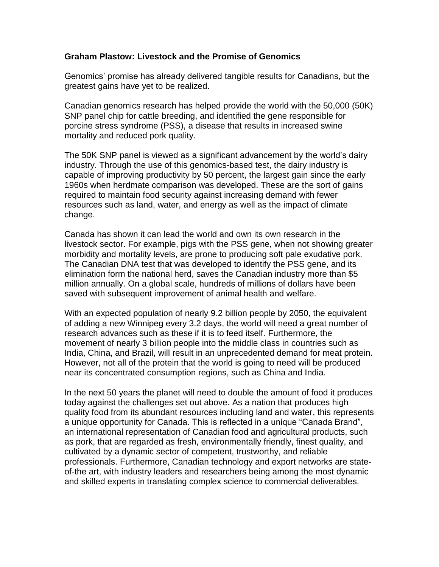## **Graham Plastow: Livestock and the Promise of Genomics**

Genomics' promise has already delivered tangible results for Canadians, but the greatest gains have yet to be realized.

Canadian genomics research has helped provide the world with the 50,000 (50K) SNP panel chip for cattle breeding, and identified the gene responsible for porcine stress syndrome (PSS), a disease that results in increased swine mortality and reduced pork quality.

The 50K SNP panel is viewed as a significant advancement by the world's dairy industry. Through the use of this genomics-based test, the dairy industry is capable of improving productivity by 50 percent, the largest gain since the early 1960s when herdmate comparison was developed. These are the sort of gains required to maintain food security against increasing demand with fewer resources such as land, water, and energy as well as the impact of climate change.

Canada has shown it can lead the world and own its own research in the livestock sector. For example, pigs with the PSS gene, when not showing greater morbidity and mortality levels, are prone to producing soft pale exudative pork. The Canadian DNA test that was developed to identify the PSS gene, and its elimination form the national herd, saves the Canadian industry more than \$5 million annually. On a global scale, hundreds of millions of dollars have been saved with subsequent improvement of animal health and welfare.

With an expected population of nearly 9.2 billion people by 2050, the equivalent of adding a new Winnipeg every 3.2 days, the world will need a great number of research advances such as these if it is to feed itself. Furthermore, the movement of nearly 3 billion people into the middle class in countries such as India, China, and Brazil, will result in an unprecedented demand for meat protein. However, not all of the protein that the world is going to need will be produced near its concentrated consumption regions, such as China and India.

In the next 50 years the planet will need to double the amount of food it produces today against the challenges set out above. As a nation that produces high quality food from its abundant resources including land and water, this represents a unique opportunity for Canada. This is reflected in a unique "Canada Brand", an international representation of Canadian food and agricultural products, such as pork, that are regarded as fresh, environmentally friendly, finest quality, and cultivated by a dynamic sector of competent, trustworthy, and reliable professionals. Furthermore, Canadian technology and export networks are stateof-the art, with industry leaders and researchers being among the most dynamic and skilled experts in translating complex science to commercial deliverables.